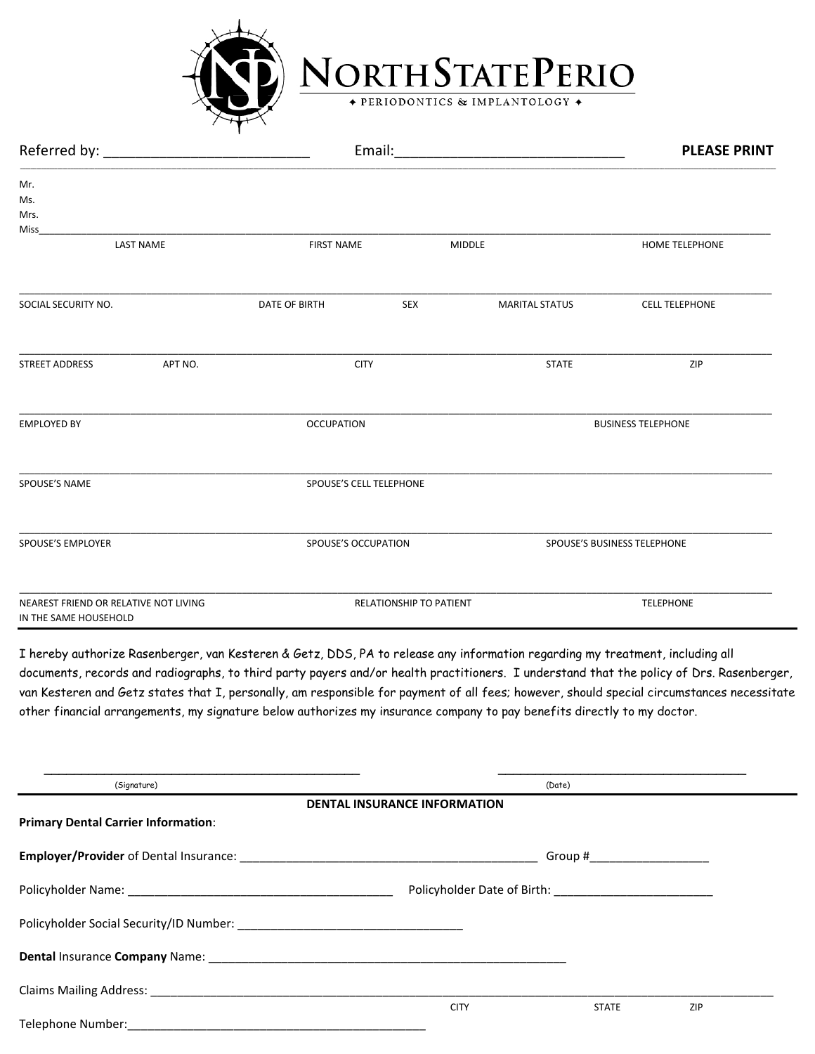

NORTH STATE PERIO

|                                                                |                         | Email:                  |                       |                             |  |
|----------------------------------------------------------------|-------------------------|-------------------------|-----------------------|-----------------------------|--|
| Mr.<br>Ms.<br>Mrs.<br>Miss                                     |                         |                         |                       |                             |  |
| <b>LAST NAME</b>                                               | <b>FIRST NAME</b>       | <b>MIDDLE</b>           |                       | <b>HOME TELEPHONE</b>       |  |
| SOCIAL SECURITY NO.                                            | DATE OF BIRTH           | <b>SEX</b>              | <b>MARITAL STATUS</b> | <b>CELL TELEPHONE</b>       |  |
| APT NO.<br>STREET ADDRESS                                      | <b>CITY</b>             |                         | <b>STATE</b>          | ZIP                         |  |
| <b>EMPLOYED BY</b>                                             | <b>OCCUPATION</b>       |                         |                       | <b>BUSINESS TELEPHONE</b>   |  |
| <b>SPOUSE'S NAME</b>                                           | SPOUSE'S CELL TELEPHONE |                         |                       |                             |  |
| SPOUSE'S EMPLOYER                                              |                         | SPOUSE'S OCCUPATION     |                       | SPOUSE'S BUSINESS TELEPHONE |  |
| NEAREST FRIEND OR RELATIVE NOT LIVING<br>IN THE SAME HOUSEHOLD |                         | RELATIONSHIP TO PATIENT |                       | <b>TELEPHONE</b>            |  |

I hereby authorize Rasenberger, van Kesteren & Getz, DDS, PA to release any information regarding my treatment, including all documents, records and radiographs, to third party payers and/or health practitioners. I understand that the policy of Drs. Rasenberger, van Kesteren and Getz states that I, personally, am responsible for payment of all fees; however, should special circumstances necessitate other financial arrangements, my signature below authorizes my insurance company to pay benefits directly to my doctor.

| (Signature)                                                                                                                                                                                                                         | <b>DENTAL INSURANCE INFORMATION</b> | (Date)       |     |  |  |
|-------------------------------------------------------------------------------------------------------------------------------------------------------------------------------------------------------------------------------------|-------------------------------------|--------------|-----|--|--|
| <b>Primary Dental Carrier Information:</b>                                                                                                                                                                                          |                                     |              |     |  |  |
|                                                                                                                                                                                                                                     | Group #_____________________        |              |     |  |  |
|                                                                                                                                                                                                                                     |                                     |              |     |  |  |
|                                                                                                                                                                                                                                     |                                     |              |     |  |  |
| <b>Dental Insurance Company Name:</b> Name: Name of the Second Second Second Second Second Second Second Second Second Second Second Second Second Second Second Second Second Second Second Second Second Second Second Second Sec |                                     |              |     |  |  |
| <b>Claims Mailing Address:</b> The Company of the Claims Mailing Address:                                                                                                                                                           |                                     |              |     |  |  |
| Telephone Number:                                                                                                                                                                                                                   | <b>CITY</b>                         | <b>STATE</b> | ZIP |  |  |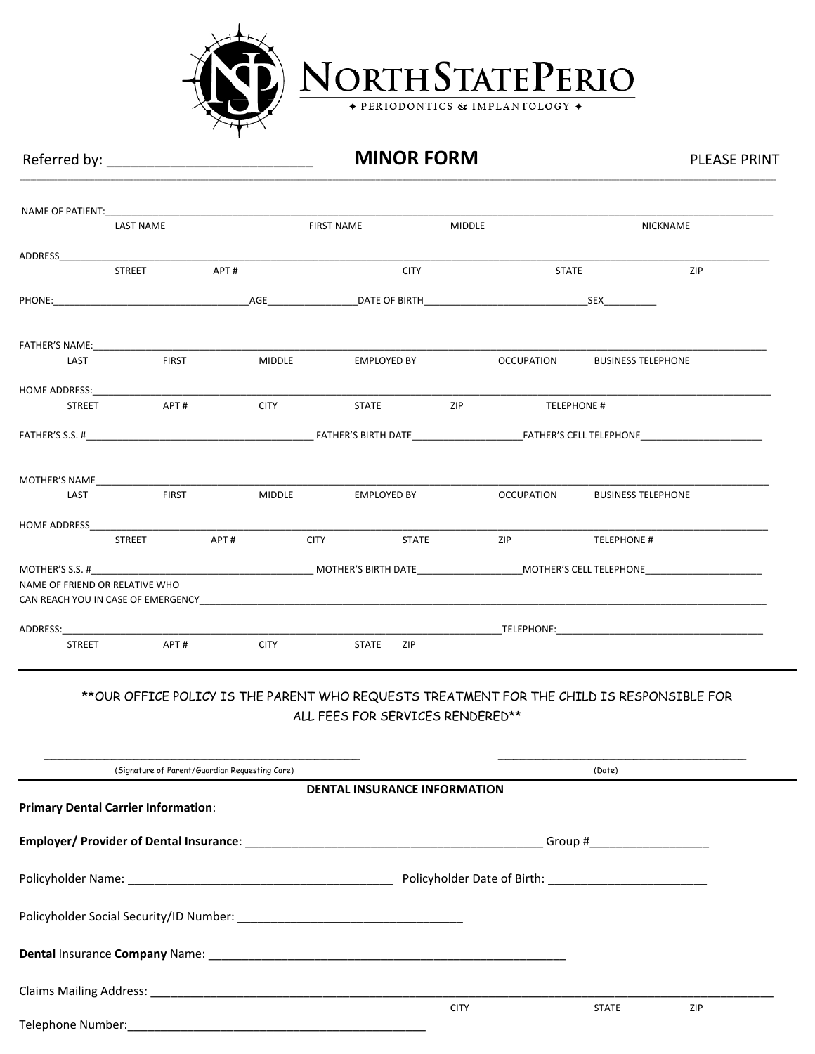

Telephone Number:\_\_\_\_\_\_\_\_\_\_\_\_\_\_\_\_\_\_\_\_\_\_\_\_\_\_\_\_\_\_\_\_\_\_\_\_\_\_\_\_\_\_\_\_\_

NORTH STATE PERIO

### Referred by: \_\_\_\_\_\_\_\_\_\_\_\_\_\_\_\_\_\_\_\_\_\_\_\_\_\_ **MINOR FORM** PLEASE PRINT

**\_\_\_\_\_\_\_\_\_\_\_\_\_\_\_\_\_\_\_\_\_\_\_\_\_\_\_\_\_\_\_\_\_\_\_\_\_\_\_\_\_\_\_\_\_\_\_\_\_\_\_\_\_\_\_\_\_\_\_\_\_\_\_\_\_\_\_\_\_\_\_\_\_\_\_\_\_\_\_\_\_\_\_\_\_\_\_\_\_\_\_\_\_\_\_\_\_\_\_\_\_\_\_\_\_\_\_\_\_\_\_\_\_\_\_\_\_\_\_\_\_\_\_\_\_\_\_\_\_\_\_\_\_\_\_\_\_\_\_\_\_\_\_\_\_\_\_\_\_\_\_\_\_\_\_\_\_\_\_\_\_\_\_\_\_\_\_\_\_\_\_\_\_\_\_\_\_\_\_\_\_\_\_\_\_\_\_\_\_\_\_\_\_\_\_\_\_\_\_\_\_\_\_\_\_\_\_\_\_\_\_\_\_\_\_\_\_\_\_\_\_\_\_\_\_\_\_\_\_\_\_\_\_\_\_\_\_\_\_\_\_\_\_\_\_\_\_\_\_\_\_\_\_\_\_\_\_\_\_\_\_\_\_\_\_\_\_\_\_\_\_\_\_\_\_\_\_\_\_\_\_\_\_\_\_**

| NAME OF PATIENT: WE ARRIVE TO A THEFT OF PATIENT OF THE STATE OF THE STATE OF THE STATE OF THE STATE OF THE STATE OF THE STATE OF THE STATE OF THE STATE OF THE STATE OF THE STATE OF THE STATE OF THE STATE OF THE STATE OF T | <b>LAST NAME</b> |                                                | <b>FIRST NAME</b> |                                     | <b>MIDDLE</b> |                   |                                                                                                      | <b>NICKNAME</b> |
|--------------------------------------------------------------------------------------------------------------------------------------------------------------------------------------------------------------------------------|------------------|------------------------------------------------|-------------------|-------------------------------------|---------------|-------------------|------------------------------------------------------------------------------------------------------|-----------------|
| ADDRESS                                                                                                                                                                                                                        |                  |                                                |                   |                                     |               |                   |                                                                                                      |                 |
|                                                                                                                                                                                                                                | <b>STREET</b>    | APT#                                           |                   | <b>CITY</b>                         |               | <b>STATE</b>      |                                                                                                      | ZIP             |
|                                                                                                                                                                                                                                |                  |                                                |                   |                                     |               |                   |                                                                                                      |                 |
|                                                                                                                                                                                                                                |                  |                                                |                   |                                     |               |                   |                                                                                                      |                 |
| LAST                                                                                                                                                                                                                           | <b>FIRST</b>     |                                                | <b>MIDDLE</b>     | EMPLOYED BY                         |               | <b>OCCUPATION</b> | <b>BUSINESS TELEPHONE</b>                                                                            |                 |
|                                                                                                                                                                                                                                |                  |                                                |                   |                                     |               |                   |                                                                                                      |                 |
| <b>STREET</b>                                                                                                                                                                                                                  | APT#             |                                                | <b>CITY CITY</b>  | STATE ZIP                           |               |                   | TELEPHONE #                                                                                          |                 |
|                                                                                                                                                                                                                                |                  |                                                |                   |                                     |               |                   |                                                                                                      |                 |
| MOTHER'S NAME THE RESIDENCE IN THE RESIDENCE IN THE RESIDENCE IN THE RESIDENCE IN THE RESIDENCE IN THE RESIDENCE IN THE RESIDENCE IN THE RESIDENCE IN THE RESIDENCE IN THE RESIDENCE IN THE RESIDENCE IN THE RESIDENCE IN THE  |                  |                                                |                   |                                     |               |                   |                                                                                                      |                 |
| LAST                                                                                                                                                                                                                           | <b>FIRST</b>     | <b>MIDDLE</b>                                  |                   | <b>EMPLOYED BY</b>                  |               | <b>OCCUPATION</b> | <b>BUSINESS TELEPHONE</b>                                                                            |                 |
|                                                                                                                                                                                                                                |                  |                                                |                   |                                     |               |                   |                                                                                                      |                 |
|                                                                                                                                                                                                                                | <b>STREET</b>    | APT#                                           | <b>CITY</b>       | <b>STATE</b>                        |               | ZIP               | <b>TELEPHONE #</b>                                                                                   |                 |
|                                                                                                                                                                                                                                |                  |                                                |                   |                                     |               |                   |                                                                                                      |                 |
| NAME OF FRIEND OR RELATIVE WHO                                                                                                                                                                                                 |                  |                                                |                   |                                     |               |                   |                                                                                                      |                 |
| ADDRESS: ADDRESS:                                                                                                                                                                                                              |                  |                                                |                   |                                     |               |                   |                                                                                                      |                 |
| STREET                                                                                                                                                                                                                         | APT#             | <b>CITY</b>                                    |                   | <b>STATE</b><br>ZIP                 |               |                   |                                                                                                      |                 |
|                                                                                                                                                                                                                                |                  | (Signature of Parent/Guardian Requesting Care) |                   | ALL FEES FOR SERVICES RENDERED**    |               |                   | ** OUR OFFICE POLICY IS THE PARENT WHO REQUESTS TREATMENT FOR THE CHILD IS RESPONSIBLE FOR<br>(Date) |                 |
|                                                                                                                                                                                                                                |                  |                                                |                   | <b>DENTAL INSURANCE INFORMATION</b> |               |                   |                                                                                                      |                 |
| <b>Primary Dental Carrier Information:</b>                                                                                                                                                                                     |                  |                                                |                   |                                     |               |                   |                                                                                                      |                 |
|                                                                                                                                                                                                                                |                  |                                                |                   |                                     |               |                   |                                                                                                      |                 |
|                                                                                                                                                                                                                                |                  |                                                |                   |                                     |               |                   |                                                                                                      |                 |
|                                                                                                                                                                                                                                |                  |                                                |                   |                                     |               |                   |                                                                                                      |                 |
|                                                                                                                                                                                                                                |                  |                                                |                   |                                     |               |                   |                                                                                                      |                 |
|                                                                                                                                                                                                                                |                  |                                                |                   |                                     |               |                   |                                                                                                      |                 |
|                                                                                                                                                                                                                                |                  |                                                |                   |                                     | <b>CITY</b>   |                   | <b>STATE</b>                                                                                         | ZIP             |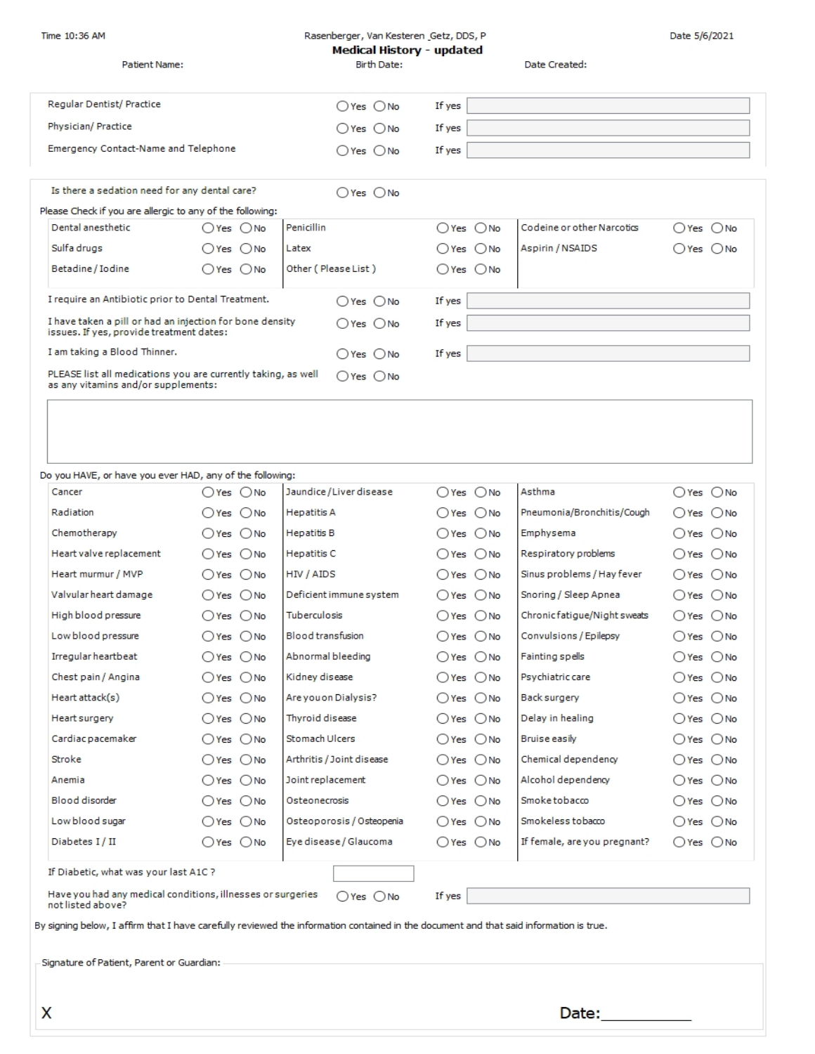| Time 10:36 AM                                                                                                                          |                            | Rasenberger, Van Kesteren (Getz, DDS, P  |                |                              | Date 5/6/2021                |  |  |
|----------------------------------------------------------------------------------------------------------------------------------------|----------------------------|------------------------------------------|----------------|------------------------------|------------------------------|--|--|
| Patient Name:                                                                                                                          |                            | Medical History - updated<br>Birth Date: |                |                              |                              |  |  |
|                                                                                                                                        |                            |                                          |                | Date Created:                |                              |  |  |
|                                                                                                                                        |                            |                                          |                |                              |                              |  |  |
| Regular Dentist/ Practice                                                                                                              |                            | $O$ Yes $O$ No                           | If yes         |                              |                              |  |  |
| Physician/ Practice                                                                                                                    |                            | $O$ Yes $O$ No                           | If yes         |                              |                              |  |  |
| Emergency Contact-Name and Telephone                                                                                                   |                            | $O$ Yes $O$ No                           | If yes         |                              |                              |  |  |
|                                                                                                                                        |                            |                                          |                |                              |                              |  |  |
| Is there a sedation need for any dental care?                                                                                          |                            | $O$ Yes $O$ No                           |                |                              |                              |  |  |
| Please Check if you are allergic to any of the following:                                                                              |                            |                                          |                |                              |                              |  |  |
| Dental anesthetic                                                                                                                      | $OYes$ $ONo$               | Penicillin                               | $O$ Yes $O$ No | Codeine or other Narcotics   | $O$ Yes $O$ No               |  |  |
| Sulfa drugs                                                                                                                            | $O$ Yes $O$ No             | Latex                                    | $O$ Yes $O$ No | Aspirin / NSAIDS             | $O$ Yes $~O$ No              |  |  |
| Betadine / Iodine                                                                                                                      | OYes ONo                   | Other (Please List)                      | $OYes$ $ONo$   |                              |                              |  |  |
| I require an Antibiotic prior to Dental Treatment.                                                                                     |                            | $O$ Yes $O$ No                           | If yes         |                              |                              |  |  |
| I have taken a pill or had an injection for bone density<br>issues. If yes, provide treatment dates:                                   | $O$ Yes $O$ No             | If yes                                   |                |                              |                              |  |  |
| I am taking a Blood Thinner.                                                                                                           | $\bigcap$ Yes $\bigcap$ No | If yes                                   |                |                              |                              |  |  |
| PLEASE list all medications you are currently taking, as well<br>as any vitamins and/or supplements:                                   |                            | $O$ Yes $O$ No                           |                |                              |                              |  |  |
|                                                                                                                                        |                            |                                          |                |                              |                              |  |  |
|                                                                                                                                        |                            |                                          |                |                              |                              |  |  |
|                                                                                                                                        |                            |                                          |                |                              |                              |  |  |
|                                                                                                                                        |                            |                                          |                |                              |                              |  |  |
| Do you HAVE, or have you ever HAD, any of the following:                                                                               |                            |                                          |                |                              |                              |  |  |
| Cancer                                                                                                                                 | $O$ Yes $O$ No             | Jaundice/Liver disease                   | $O$ Yes $O$ No | Asthma                       | $O$ Yes $O$ No               |  |  |
| Radiation                                                                                                                              | ○Yes ○No                   | <b>Hepatitis A</b>                       | ○Yes ○No       | Pneumonia/Bronchitis/Cough   | $O$ Yes $O$ No               |  |  |
| Chemotherapy                                                                                                                           | $OYes$ $ONo$               | <b>Hepatitis B</b>                       | $O$ Yes $O$ No | Emphysema                    | ○Yes ○No                     |  |  |
| Heart valve replacement                                                                                                                | $OYes$ $ONo$               | Hepatitis C                              | $OYes$ $ONo$   | Respiratory problems         | $O$ Yes $O$ No               |  |  |
| Heart murmur / MVP                                                                                                                     | $OYes$ $ONo$               | HIV / AIDS                               | ○Yes ○No       | Sinus problems / Hay fever   | ○Yes ○No                     |  |  |
| Valvular heart damage                                                                                                                  | $O$ Yes $O$ No             | Deficient immune system                  | ○Yes ○No       | Snoring / Sleep Apnea        | ○Yes ○No                     |  |  |
| High blood pressure                                                                                                                    | $O$ Yes $O$ No             | Tuberculosis                             | $O$ Yes $O$ No | Chronic fatigue/Night sweats | $O$ Yes $O$ No               |  |  |
| Low blood pressure                                                                                                                     | $O$ Yes $O$ No             | Blood transfusion                        | $O$ Yes $O$ No | Convulsions / Epilepsy       | $O$ Yes $O$ No               |  |  |
| Irregular heartbeat                                                                                                                    | $OYes$ $ONo$               | Abnormal bleeding                        | ○Yes ○No       | Fainting spells              | $\bigcirc$ Yes $\bigcirc$ No |  |  |
| Chest pain / Angina                                                                                                                    | $OYes$ $ONo$               | Kidney disease                           | ○Yes ○No       | Psychiatric care             | $O$ Yes $~O$ No              |  |  |
| Heart attack(s)                                                                                                                        | $O$ Yes $O$ No             | Are you on Dialysis?                     | $O$ Yes $O$ No | Back surgery                 | $O$ Yes $O$ No               |  |  |
| Heart surgery                                                                                                                          | $OYes$ $ONo$               | Thyroid disease                          | $O$ Yes $O$ No | Delay in healing             | $O$ Yes $O$ No               |  |  |
| Cardiac pacemaker                                                                                                                      | $O$ Yes $O$ No             | Stomach Ulcers                           | $O$ Yes $O$ No | Bruise easily                | $O$ Yes $O$ No               |  |  |
| Stroke                                                                                                                                 | $O$ Yes $O$ No             | Arthritis / Joint disease                | $O$ Yes $O$ No | Chemical dependency          | ○Yes ○No                     |  |  |
| Anemia                                                                                                                                 | $O$ Yes $O$ No             | Joint replacement                        | $O$ Yes $O$ No | Alcohol dependency           | $O$ Yes $O$ No               |  |  |
| Blood disorder                                                                                                                         | $OYes$ $ONo$               | Osteonecrosis                            | $O$ Yes $O$ No | Smoke tobacco                | $O$ Yes $O$ No               |  |  |
| Low blood sugar                                                                                                                        | $OYes$ $ONo$               | Osteoporosis / Osteopenia                | $O$ Yes $O$ No | Smokeless tobacco            | $O$ Yes $~O$ No              |  |  |
| Diabetes I/II                                                                                                                          | $O$ Yes $O$ No             | Eye disease / Glaucoma                   | $O$ Yes $O$ No | If female, are you pregnant? | $\bigcirc$ Yes $\bigcirc$ No |  |  |
|                                                                                                                                        |                            |                                          |                |                              |                              |  |  |
| If Diabetic, what was your last A1C ?                                                                                                  |                            |                                          |                |                              |                              |  |  |
| Have you had any medical conditions, illnesses or surgeries<br>$O$ Yes $~O$ No<br>If yes<br>not listed above?                          |                            |                                          |                |                              |                              |  |  |
| By signing below, I affirm that I have carefully reviewed the information contained in the document and that said information is true. |                            |                                          |                |                              |                              |  |  |
| Signature of Patient, Parent or Guardian:                                                                                              |                            |                                          |                |                              |                              |  |  |
|                                                                                                                                        |                            |                                          |                |                              |                              |  |  |
|                                                                                                                                        |                            |                                          |                |                              |                              |  |  |
| X                                                                                                                                      |                            |                                          |                | Date:                        |                              |  |  |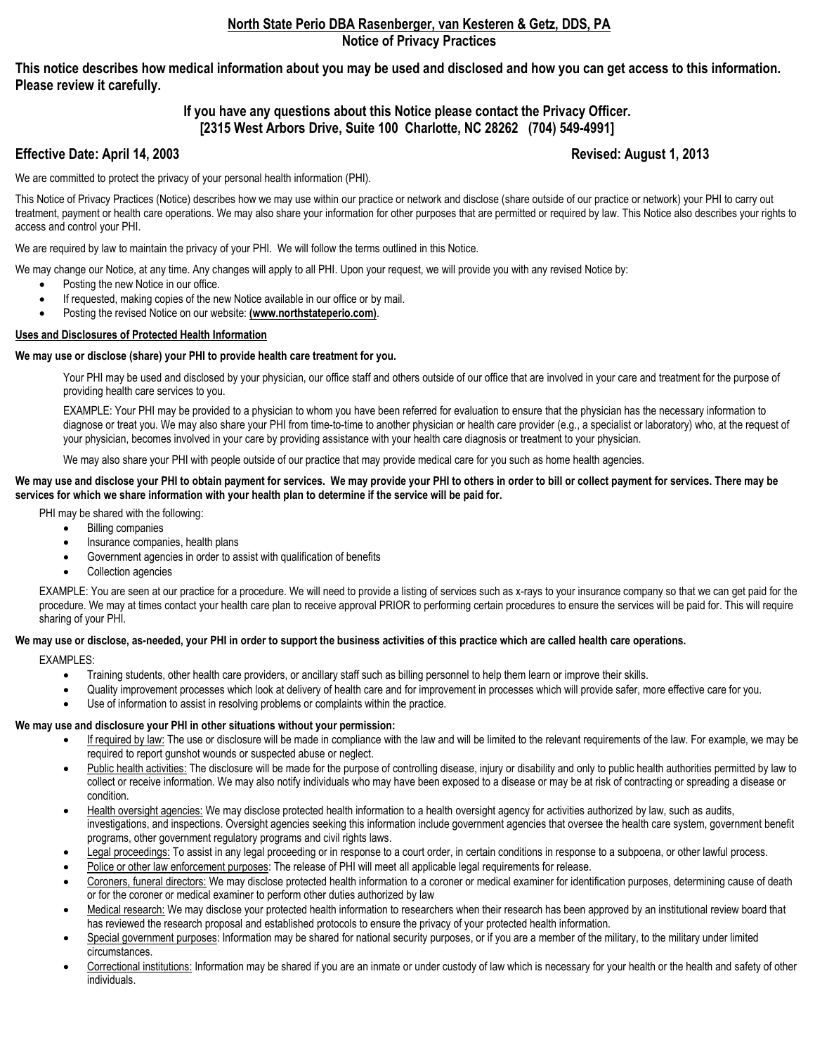#### **North State Perio DBA Rasenberger, van Kesteren & Getz, DDS, PA Notice of Privacy Practices**

**This notice describes how medical information about you may be used and disclosed and how you can get access to this information. Please review it carefully.** 

#### **If you have any questions about this Notice please contact the Privacy Officer. [2315 West Arbors Drive, Suite 100 Charlotte, NC 28262 (704) 549-4991]**

#### **Effective Date: April 14, 2003** Revised: August 1, 2013

We are committed to protect the privacy of your personal health information (PHI).

This Notice of Privacy Practices (Notice) describes how we may use within our practice or network and disclose (share outside of our practice or network) your PHI to carry out treatment, payment or health care operations. We may also share your information for other purposes that are permitted or required by law. This Notice also describes your rights to access and control your PHI.

We are required by law to maintain the privacy of your PHI. We will follow the terms outlined in this Notice.

We may change our Notice, at any time. Any changes will apply to all PHI. Upon your request, we will provide you with any revised Notice by:

- Posting the new Notice in our office.
- If requested, making copies of the new Notice available in our office or by mail.
- Posting the revised Notice on our website: **(www.northstateperio.com)**.

#### **Uses and Disclosures of Protected Health Information**

#### **We may use or disclose (share) your PHI to provide health care treatment for you.**

Your PHI may be used and disclosed by your physician, our office staff and others outside of our office that are involved in your care and treatment for the purpose of providing health care services to you.

EXAMPLE: Your PHI may be provided to a physician to whom you have been referred for evaluation to ensure that the physician has the necessary information to diagnose or treat you. We may also share your PHI from time-to-time to another physician or health care provider (e.g., a specialist or laboratory) who, at the request of your physician, becomes involved in your care by providing assistance with your health care diagnosis or treatment to your physician.

We may also share your PHI with people outside of our practice that may provide medical care for you such as home health agencies.

#### We may use and disclose your PHI to obtain payment for services. We may provide your PHI to others in order to bill or collect payment for services. There may be **services for which we share information with your health plan to determine if the service will be paid for.**

PHI may be shared with the following:

- Billing companies
- Insurance companies, health plans
- Government agencies in order to assist with qualification of benefits
- Collection agencies

EXAMPLE: You are seen at our practice for a procedure. We will need to provide a listing of services such as x-rays to your insurance company so that we can get paid for the procedure. We may at times contact your health care plan to receive approval PRIOR to performing certain procedures to ensure the services will be paid for. This will require sharing of your PHI.

#### We may use or disclose, as-needed, your PHI in order to support the business activities of this practice which are called health care operations.

EXAMPLES:

- Training students, other health care providers, or ancillary staff such as billing personnel to help them learn or improve their skills.
- Quality improvement processes which look at delivery of health care and for improvement in processes which will provide safer, more effective care for you.
- Use of information to assist in resolving problems or complaints within the practice.

#### **We may use and disclosure your PHI in other situations without your permission:**

- If required by law: The use or disclosure will be made in compliance with the law and will be limited to the relevant requirements of the law. For example, we may be required to report gunshot wounds or suspected abuse or neglect.
- Public health activities: The disclosure will be made for the purpose of controlling disease, injury or disability and only to public health authorities permitted by law to collect or receive information. We may also notify individuals who may have been exposed to a disease or may be at risk of contracting or spreading a disease or condition.
- Health oversight agencies: We may disclose protected health information to a health oversight agency for activities authorized by law, such as audits, investigations, and inspections. Oversight agencies seeking this information include government agencies that oversee the health care system, government benefit programs, other government regulatory programs and civil rights laws.
- Legal proceedings: To assist in any legal proceeding or in response to a court order, in certain conditions in response to a subpoena, or other lawful process.
- Police or other law enforcement purposes: The release of PHI will meet all applicable legal requirements for release.
- Coroners, funeral directors: We may disclose protected health information to a coroner or medical examiner for identification purposes, determining cause of death or for the coroner or medical examiner to perform other duties authorized by law
- Medical research: We may disclose your protected health information to researchers when their research has been approved by an institutional review board that has reviewed the research proposal and established protocols to ensure the privacy of your protected health information.
- Special government purposes: Information may be shared for national security purposes, or if you are a member of the military, to the military under limited circumstances.
- Correctional institutions: Information may be shared if you are an inmate or under custody of law which is necessary for your health or the health and safety of other individuals.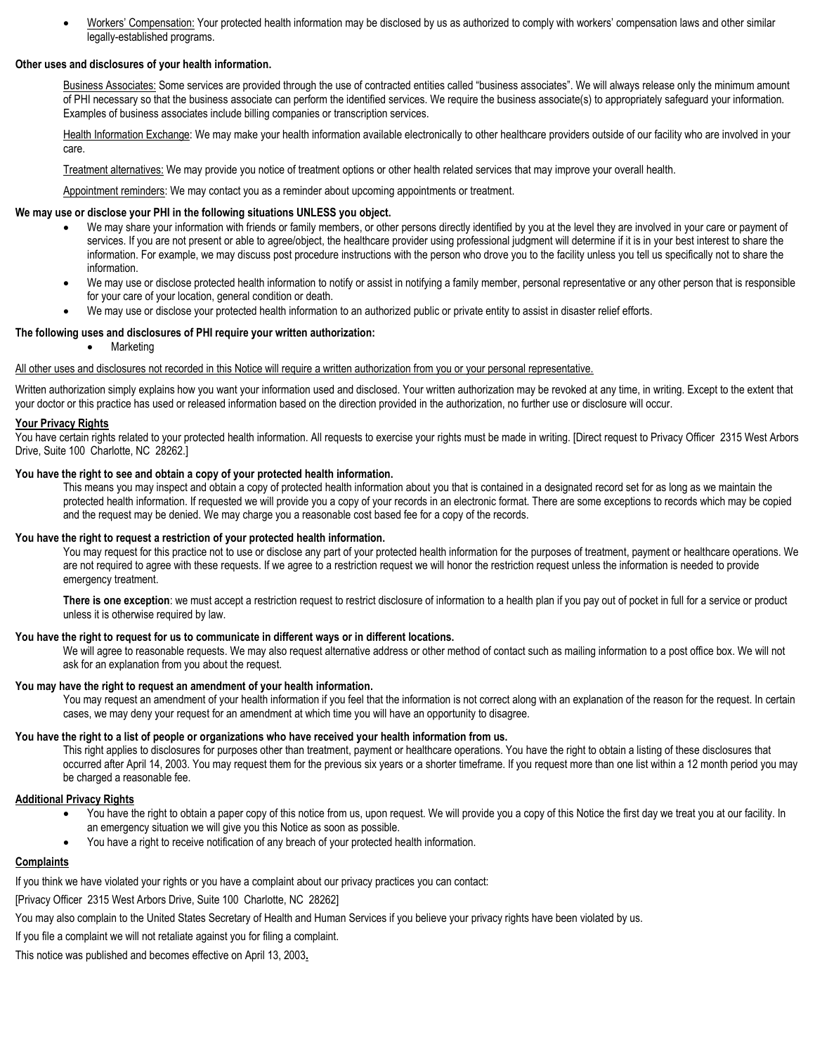• Workers' Compensation: Your protected health information may be disclosed by us as authorized to comply with workers' compensation laws and other similar legally-established programs.

#### **Other uses and disclosures of your health information.**

Business Associates: Some services are provided through the use of contracted entities called "business associates". We will always release only the minimum amount of PHI necessary so that the business associate can perform the identified services. We require the business associate(s) to appropriately safeguard your information. Examples of business associates include billing companies or transcription services.

Health Information Exchange: We may make your health information available electronically to other healthcare providers outside of our facility who are involved in your care.

Treatment alternatives: We may provide you notice of treatment options or other health related services that may improve your overall health.

Appointment reminders: We may contact you as a reminder about upcoming appointments or treatment.

#### **We may use or disclose your PHI in the following situations UNLESS you object.**

- We may share your information with friends or family members, or other persons directly identified by you at the level they are involved in your care or payment of services. If you are not present or able to agree/object, the healthcare provider using professional judgment will determine if it is in your best interest to share the information. For example, we may discuss post procedure instructions with the person who drove you to the facility unless you tell us specifically not to share the information.
- We may use or disclose protected health information to notify or assist in notifying a family member, personal representative or any other person that is responsible for your care of your location, general condition or death.
- We may use or disclose your protected health information to an authorized public or private entity to assist in disaster relief efforts.

#### **The following uses and disclosures of PHI require your written authorization:**

• Marketing

#### All other uses and disclosures not recorded in this Notice will require a written authorization from you or your personal representative.

Written authorization simply explains how you want your information used and disclosed. Your written authorization may be revoked at any time, in writing. Except to the extent that your doctor or this practice has used or released information based on the direction provided in the authorization, no further use or disclosure will occur.

#### **Your Privacy Rights**

You have certain rights related to your protected health information. All requests to exercise your rights must be made in writing. [Direct request to Privacy Officer 2315 West Arbors Drive, Suite 100 Charlotte, NC 28262.]

#### **You have the right to see and obtain a copy of your protected health information.**

This means you may inspect and obtain a copy of protected health information about you that is contained in a designated record set for as long as we maintain the protected health information. If requested we will provide you a copy of your records in an electronic format. There are some exceptions to records which may be copied and the request may be denied. We may charge you a reasonable cost based fee for a copy of the records.

#### **You have the right to request a restriction of your protected health information.**

You may request for this practice not to use or disclose any part of your protected health information for the purposes of treatment, payment or healthcare operations. We are not required to agree with these requests. If we agree to a restriction request we will honor the restriction request unless the information is needed to provide emergency treatment.

There is one exception: we must accept a restriction request to restrict disclosure of information to a health plan if you pay out of pocket in full for a service or product unless it is otherwise required by law.

#### **You have the right to request for us to communicate in different ways or in different locations.**

We will agree to reasonable requests. We may also request alternative address or other method of contact such as mailing information to a post office box. We will not ask for an explanation from you about the request.

#### **You may have the right to request an amendment of your health information.**

You may request an amendment of your health information if you feel that the information is not correct along with an explanation of the reason for the request. In certain cases, we may deny your request for an amendment at which time you will have an opportunity to disagree.

#### **You have the right to a list of people or organizations who have received your health information from us.**

This right applies to disclosures for purposes other than treatment, payment or healthcare operations. You have the right to obtain a listing of these disclosures that occurred after April 14, 2003. You may request them for the previous six years or a shorter timeframe. If you request more than one list within a 12 month period you may be charged a reasonable fee.

#### **Additional Privacy Rights**

- You have the right to obtain a paper copy of this notice from us, upon request. We will provide you a copy of this Notice the first day we treat you at our facility. In an emergency situation we will give you this Notice as soon as possible.
- You have a right to receive notification of any breach of your protected health information.

#### **Complaints**

If you think we have violated your rights or you have a complaint about our privacy practices you can contact:

[Privacy Officer 2315 West Arbors Drive, Suite 100 Charlotte, NC 28262]

You may also complain to the United States Secretary of Health and Human Services if you believe your privacy rights have been violated by us.

If you file a complaint we will not retaliate against you for filing a complaint.

This notice was published and becomes effective on April 13, 2003**.**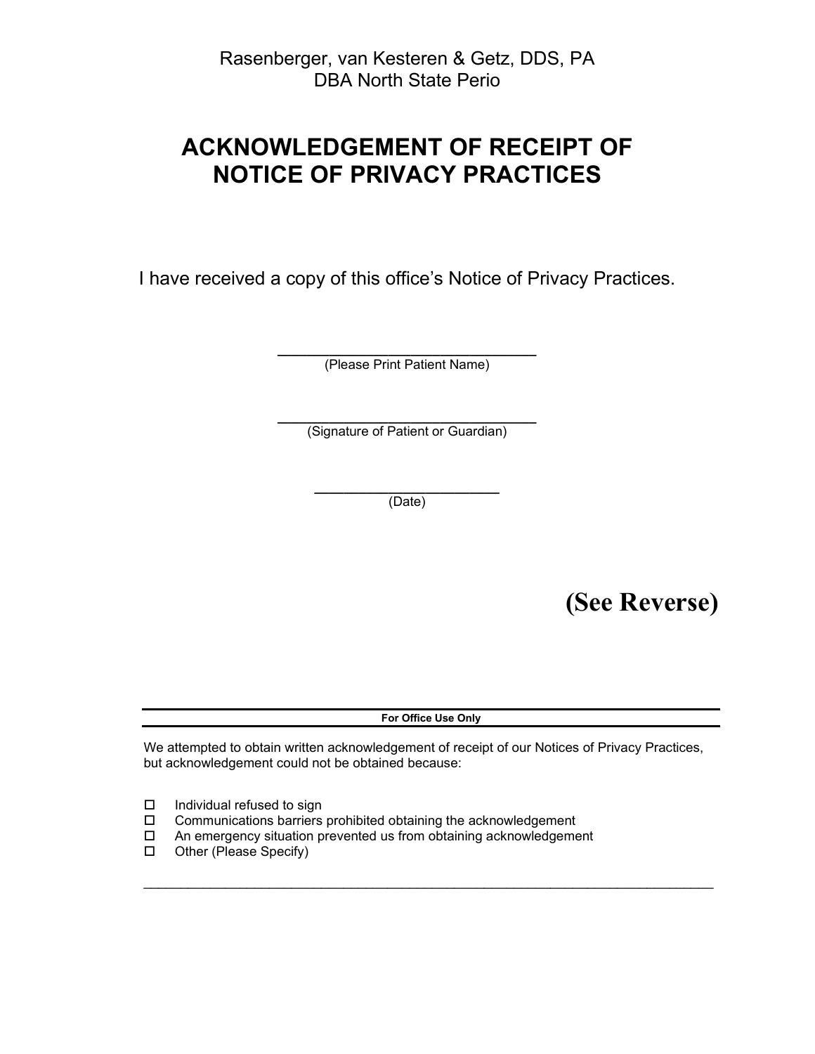# **ACKNOWLEDGEMENT OF RECEIPT OF NOTICE OF PRIVACY PRACTICES**

I have received a copy of this office's Notice of Privacy Practices.

**\_\_\_\_\_\_\_\_\_\_\_\_\_\_\_\_\_\_\_\_\_\_\_\_\_\_\_\_\_\_\_\_\_\_\_** (Please Print Patient Name)

**\_\_\_\_\_\_\_\_\_\_\_\_\_\_\_\_\_\_\_\_\_\_\_\_\_\_\_\_\_\_\_\_\_\_\_** (Signature of Patient or Guardian)

> **\_\_\_\_\_\_\_\_\_\_\_\_\_\_\_\_\_\_\_\_\_\_\_\_\_** (Date)

> > **(See Reverse)**

**For Office Use Only**

We attempted to obtain written acknowledgement of receipt of our Notices of Privacy Practices, but acknowledgement could not be obtained because:

\_\_\_\_\_\_\_\_\_\_\_\_\_\_\_\_\_\_\_\_\_\_\_\_\_\_\_\_\_\_\_\_\_\_\_\_\_\_\_\_\_\_\_\_\_\_\_\_\_\_\_\_\_\_\_\_\_\_\_\_\_\_\_\_\_\_\_\_\_\_\_\_\_\_\_\_\_

- $\square$  Individual refused to sign
- Communications barriers prohibited obtaining the acknowledgement
- An emergency situation prevented us from obtaining acknowledgement
- □ Other (Please Specify)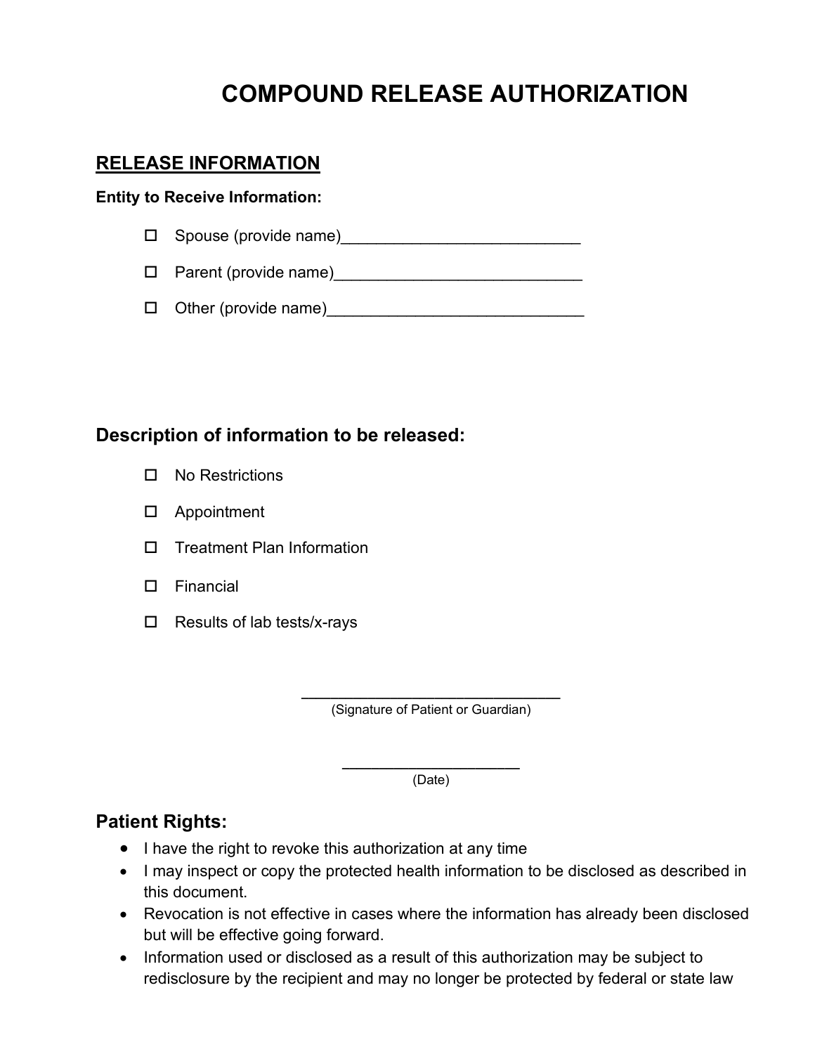# **COMPOUND RELEASE AUTHORIZATION**

### **RELEASE INFORMATION**

### **Entity to Receive Information:**

 $\Box$  Spouse (provide name)

Parent (provide name)\_\_\_\_\_\_\_\_\_\_\_\_\_\_\_\_\_\_\_\_\_\_\_\_\_\_\_\_

Other (provide name)\_\_\_\_\_\_\_\_\_\_\_\_\_\_\_\_\_\_\_\_\_\_\_\_\_\_\_\_\_

### **Description of information to be released:**

- □ No Restrictions
- Appointment
- $\square$  Treatment Plan Information
- Financial
- $\Box$  Results of lab tests/x-rays

**\_\_\_\_\_\_\_\_\_\_\_\_\_\_\_\_\_\_\_\_\_\_\_\_\_\_\_\_\_\_\_\_\_\_\_** (Signature of Patient or Guardian)

> **\_\_\_\_\_\_\_\_\_\_\_\_\_\_\_\_\_\_\_\_\_\_\_\_** (Date)

### **Patient Rights:**

- I have the right to revoke this authorization at any time
- I may inspect or copy the protected health information to be disclosed as described in this document.
- Revocation is not effective in cases where the information has already been disclosed but will be effective going forward.
- Information used or disclosed as a result of this authorization may be subject to redisclosure by the recipient and may no longer be protected by federal or state law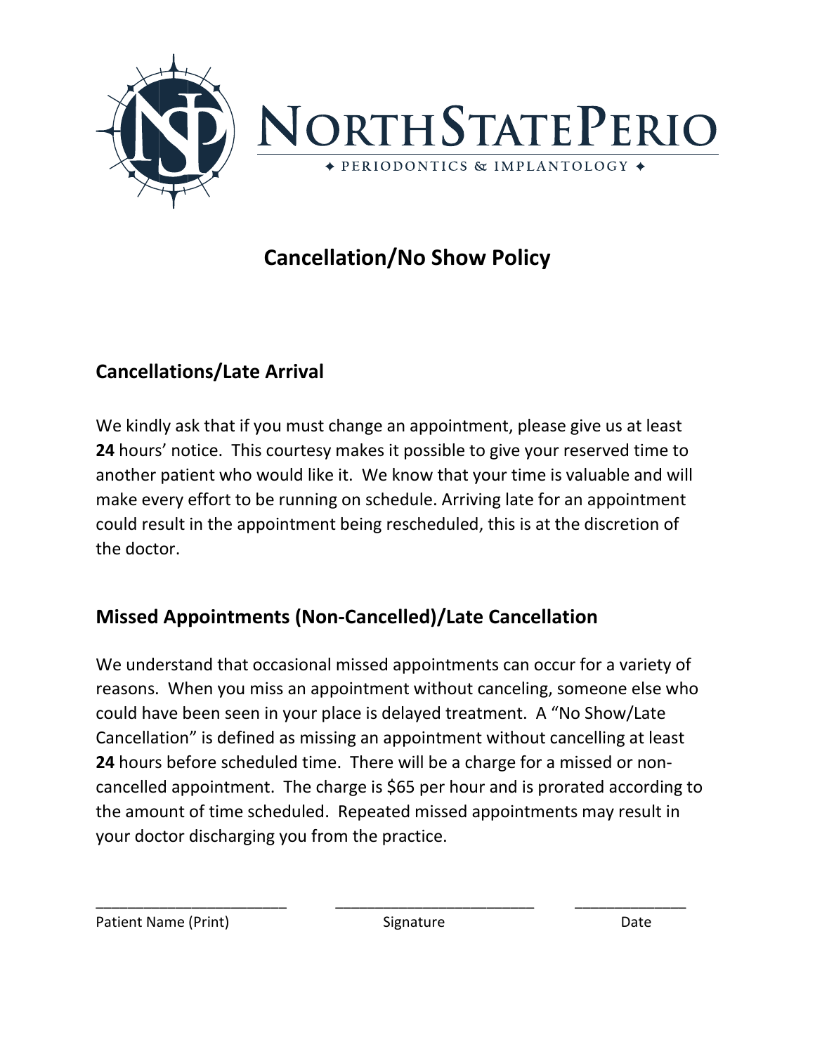

# **Cancellation/No Show Policy**

# **Cancellations/Late Arrival**

We kindly ask that if you must change an appointment, please give us at least **24** hours' notice. This courtesy makes it possible to give your reserved time to another patient who would like it. We know that your time is valuable and will make every effort to be running on schedule. Arriving late for an appointment could result in the appointment being rescheduled, this is at the discretion of the doctor.

## **Missed Appointments (Non-Cancelled)/Late Cancellation**

We understand that occasional missed appointments can occur for a variety of reasons. When you miss an appointment without canceling, someone else who could have been seen in your place is delayed treatment. A "No Show/Late Cancellation" is defined as missing an appointment without cancelling at least **24** hours before scheduled time. There will be a charge for a missed or noncancelled appointment. The charge is \$65 per hour and is prorated according to the amount of time scheduled. Repeated missed appointments may result in your doctor discharging you from the practice.

\_\_\_\_\_\_\_\_\_\_\_\_\_\_\_\_\_\_\_\_\_\_\_\_ \_\_\_\_\_\_\_\_\_\_\_\_\_\_\_\_\_\_\_\_\_\_\_\_\_ \_\_\_\_\_\_\_\_\_\_\_\_\_\_